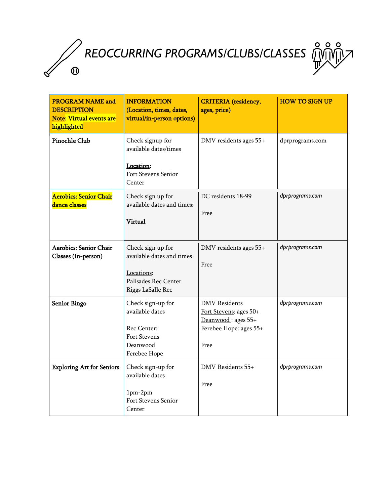*REOCCURRING PROGRAMS/CLUBS/CLASSES*

 $\boldsymbol{\Omega}$ 

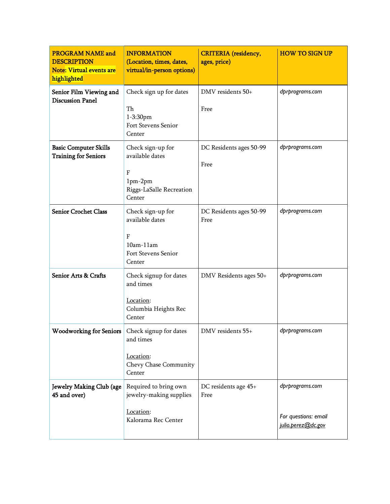| <b>PROGRAM NAME and</b><br><b>DESCRIPTION</b><br><b>Note: Virtual events are</b><br>highlighted | <b>INFORMATION</b><br>(Location, times, dates,<br>virtual/in-person options)                         | <b>CRITERIA</b> (residency,<br>ages, price) | <b>HOW TO SIGN UP</b>                                         |
|-------------------------------------------------------------------------------------------------|------------------------------------------------------------------------------------------------------|---------------------------------------------|---------------------------------------------------------------|
| Senior Film Viewing and<br><b>Discussion Panel</b>                                              | Check sign up for dates<br>Th<br>1-3:30pm<br>Fort Stevens Senior<br>Center                           | DMV residents 50+<br>Free                   | dprprograms.com                                               |
| <b>Basic Computer Skills</b><br><b>Training for Seniors</b>                                     | Check sign-up for<br>available dates<br>${\bf F}$<br>$1pm-2pm$<br>Riggs-LaSalle Recreation<br>Center | DC Residents ages 50-99<br>Free             | dprprograms.com                                               |
| <b>Senior Crochet Class</b>                                                                     | Check sign-up for<br>available dates<br>F<br>$10am-11am$<br>Fort Stevens Senior<br>Center            | DC Residents ages 50-99<br>Free             | dprprograms.com                                               |
| Senior Arts & Crafts                                                                            | Check signup for dates<br>and times<br>Location:<br>Columbia Heights Rec<br>Center                   | DMV Residents ages 50+                      | dprprograms.com                                               |
| Woodworking for Seniors   Check signup for dates                                                | and times<br>Location:<br>Chevy Chase Community<br>Center                                            | DMV residents 55+                           | dprprograms.com                                               |
| Jewelry Making Club (age<br>45 and over)                                                        | Required to bring own<br>jewelry-making supplies<br>Location:<br>Kalorama Rec Center                 | DC residents age 45+<br>Free                | dprprograms.com<br>For questions: email<br>julio.perez@dc.gov |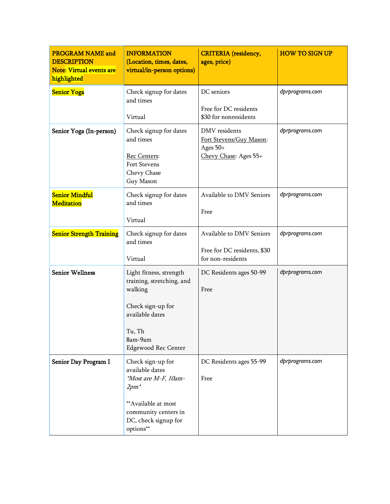| <b>PROGRAM NAME and</b><br><b>DESCRIPTION</b><br><b>Note: Virtual events are</b><br>highlighted | <b>INFORMATION</b><br>(Location, times, dates,<br>virtual/in-person options)                                                                                | <b>CRITERIA</b> (residency,<br>ages, price)                                   | <b>HOW TO SIGN UP</b> |
|-------------------------------------------------------------------------------------------------|-------------------------------------------------------------------------------------------------------------------------------------------------------------|-------------------------------------------------------------------------------|-----------------------|
| <b>Senior Yoga</b>                                                                              | Check signup for dates<br>and times<br>Virtual                                                                                                              | DC seniors<br>Free for DC residents<br>\$30 for nonresidents                  | dprprograms.com       |
| Senior Yoga (In-person)                                                                         | Check signup for dates<br>and times<br>Rec Centers:<br>Fort Stevens<br>Chevy Chase<br>Guy Mason                                                             | DMV residents<br>Fort Stevens/Guy Mason:<br>Ages 50+<br>Chevy Chase: Ages 55+ | dprprograms.com       |
| <b>Senior Mindful</b><br><b>Meditation</b>                                                      | Check signup for dates<br>and times<br>Virtual                                                                                                              | Available to DMV Seniors<br>Free                                              | dprprograms.com       |
| <b>Senior Strength Training</b>                                                                 | Check signup for dates<br>and times<br>Virtual                                                                                                              | Available to DMV Seniors<br>Free for DC residents, \$30<br>for non-residents  | dprprograms.com       |
| <b>Senior Wellness</b>                                                                          | Light fitness, strength<br>training, stretching, and<br>walking<br>Check sign-up for<br>available dates<br>Tu, Th<br>8am-9am<br><b>Edgewood Rec Center</b>  | DC Residents ages 50-99<br>Free                                               | dprprograms.com       |
| Senior Day Program I                                                                            | Check sign-up for<br>available dates<br>*Most are M-F, 10am-<br>$2pm^*$<br>**Available at most<br>community centers in<br>DC, check signup for<br>options** | DC Residents ages 55-99<br>Free                                               | dprprograms.com       |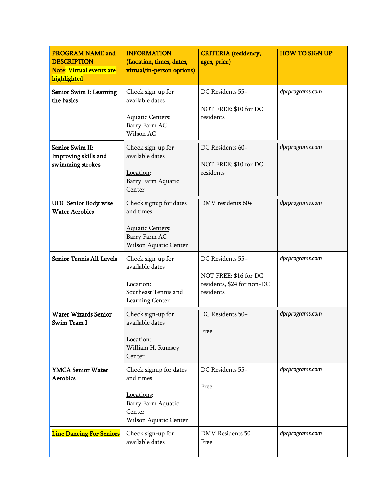| <b>PROGRAM NAME and</b><br><b>DESCRIPTION</b><br>Note: Virtual events are<br>highlighted | <b>INFORMATION</b><br>(Location, times, dates,<br>virtual/in-person options)                               | <b>CRITERIA</b> (residency,<br>ages, price)                                          | <b>HOW TO SIGN UP</b> |
|------------------------------------------------------------------------------------------|------------------------------------------------------------------------------------------------------------|--------------------------------------------------------------------------------------|-----------------------|
| Senior Swim I: Learning<br>the basics                                                    | Check sign-up for<br>available dates<br><b>Aquatic Centers:</b><br>Barry Farm AC<br>Wilson AC              | DC Residents 55+<br>NOT FREE: \$10 for DC<br>residents                               | dprprograms.com       |
| Senior Swim II:<br>Improving skills and<br>swimming strokes                              | Check sign-up for<br>available dates<br>Location:<br>Barry Farm Aquatic<br>Center                          | DC Residents 60+<br>NOT FREE: \$10 for DC<br>residents                               | dprprograms.com       |
| <b>UDC Senior Body wise</b><br><b>Water Aerobics</b>                                     | Check signup for dates<br>and times<br><b>Aquatic Centers:</b><br>Barry Farm AC<br>Wilson Aquatic Center   | DMV residents 60+                                                                    | dprprograms.com       |
| <b>Senior Tennis All Levels</b>                                                          | Check sign-up for<br>available dates<br>Location:<br>Southeast Tennis and<br>Learning Center               | DC Residents 55+<br>NOT FREE: \$16 for DC<br>residents, \$24 for non-DC<br>residents | dprprograms.com       |
| <b>Water Wizards Senior</b><br>Swim Team I                                               | Check sign-up for<br>available dates<br>Location:<br>William H. Rumsey<br>Center                           | DC Residents 50+<br>Free                                                             | dprprograms.com       |
| <b>YMCA Senior Water</b><br><b>Aerobics</b>                                              | Check signup for dates<br>and times<br>Locations:<br>Barry Farm Aquatic<br>Center<br>Wilson Aquatic Center | DC Residents 55+<br>Free                                                             | dprprograms.com       |
| <b>Line Dancing For Seniors</b>                                                          | Check sign-up for<br>available dates                                                                       | DMV Residents 50+<br>Free                                                            | dprprograms.com       |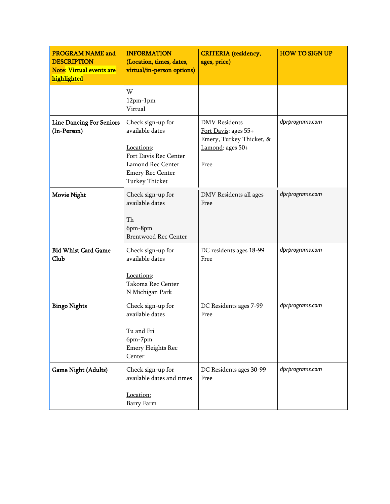| <b>PROGRAM NAME and</b><br><b>DESCRIPTION</b><br><b>Note: Virtual events are</b><br>highlighted | <b>INFORMATION</b><br>(Location, times, dates,<br>virtual/in-person options)                                                                         | <b>CRITERIA</b> (residency,<br>ages, price)                                                          | <b>HOW TO SIGN UP</b> |
|-------------------------------------------------------------------------------------------------|------------------------------------------------------------------------------------------------------------------------------------------------------|------------------------------------------------------------------------------------------------------|-----------------------|
|                                                                                                 | W<br>$12pm-1pm$<br>Virtual                                                                                                                           |                                                                                                      |                       |
| <b>Line Dancing For Seniors</b><br>(In-Person)                                                  | Check sign-up for<br>available dates<br>Locations:<br>Fort Davis Rec Center<br>Lamond Rec Center<br><b>Emery Rec Center</b><br><b>Turkey Thicket</b> | <b>DMV</b> Residents<br>Fort Davis: ages 55+<br>Emery, Turkey Thicket, &<br>Lamond: ages 50+<br>Free | dprprograms.com       |
| <b>Movie Night</b>                                                                              | Check sign-up for<br>available dates<br>Th<br>6pm-8pm<br><b>Brentwood Rec Center</b>                                                                 | DMV Residents all ages<br>Free                                                                       | dprprograms.com       |
| <b>Bid Whist Card Game</b><br>Club                                                              | Check sign-up for<br>available dates<br>Locations:<br>Takoma Rec Center<br>N Michigan Park                                                           | DC residents ages 18-99<br>Free                                                                      | dprprograms.com       |
| <b>Bingo Nights</b>                                                                             | Check sign-up for<br>available dates<br>Tu and Fri<br>6pm-7pm<br><b>Emery Heights Rec</b><br>Center                                                  | DC Residents ages 7-99<br>Free                                                                       | dprprograms.com       |
| Game Night (Adults)                                                                             | Check sign-up for<br>available dates and times<br>Location:<br>Barry Farm                                                                            | DC Residents ages 30-99<br>Free                                                                      | dprprograms.com       |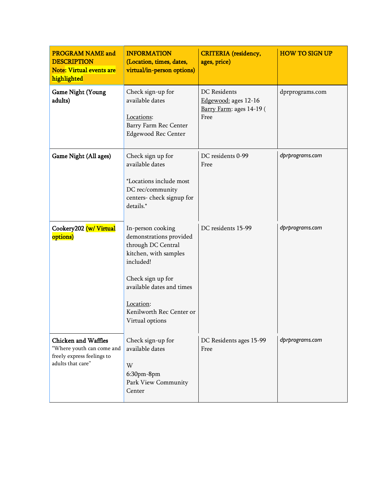| <b>PROGRAM NAME and</b><br><b>DESCRIPTION</b><br><b>Note: Virtual events are</b><br>highlighted            | <b>INFORMATION</b><br>(Location, times, dates,<br>virtual/in-person options)                                                                                                                                           | <b>CRITERIA</b> (residency,<br>ages, price)                              | <b>HOW TO SIGN UP</b> |
|------------------------------------------------------------------------------------------------------------|------------------------------------------------------------------------------------------------------------------------------------------------------------------------------------------------------------------------|--------------------------------------------------------------------------|-----------------------|
| <b>Game Night (Young</b><br>adults)                                                                        | Check sign-up for<br>available dates<br>Locations:<br>Barry Farm Rec Center<br><b>Edgewood Rec Center</b>                                                                                                              | DC Residents<br>Edgewood: ages 12-16<br>Barry Farm: ages 14-19 (<br>Free | dprprograms.com       |
| Game Night (All ages)                                                                                      | Check sign up for<br>available dates<br>*Locations include most<br>DC rec/community<br>centers-check signup for<br>details.*                                                                                           | DC residents 0-99<br>Free                                                | dprprograms.com       |
| Cookery202 (w/Virtual<br>options)                                                                          | In-person cooking<br>demonstrations provided<br>through DC Central<br>kitchen, with samples<br>included!<br>Check sign up for<br>available dates and times<br>Location:<br>Kenilworth Rec Center or<br>Virtual options | DC residents 15-99                                                       | dprprograms.com       |
| <b>Chicken and Waffles</b><br>"Where youth can come and<br>freely express feelings to<br>adults that care" | Check sign-up for<br>available dates<br>W<br>$6:30$ pm- $8$ pm<br>Park View Community<br>Center                                                                                                                        | DC Residents ages 15-99<br>Free                                          | dprprograms.com       |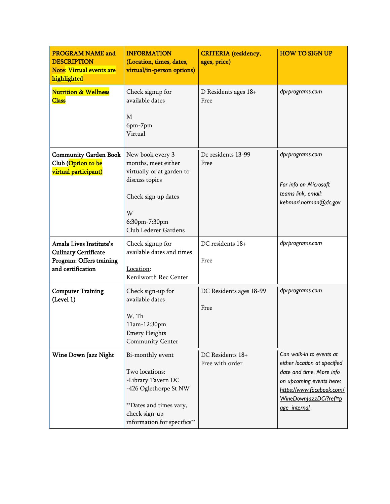| <b>PROGRAM NAME and</b><br><b>DESCRIPTION</b><br><b>Note: Virtual events are</b><br>highlighted         | <b>INFORMATION</b><br>(Location, times, dates,<br>virtual/in-person options)                                                                                 | <b>CRITERIA</b> (residency,<br>ages, price) | <b>HOW TO SIGN UP</b>                                                                                                                                                                  |
|---------------------------------------------------------------------------------------------------------|--------------------------------------------------------------------------------------------------------------------------------------------------------------|---------------------------------------------|----------------------------------------------------------------------------------------------------------------------------------------------------------------------------------------|
| <b>Nutrition &amp; Wellness</b><br><b>Class</b>                                                         | Check signup for<br>available dates<br>М<br>6pm-7pm<br>Virtual                                                                                               | D Residents ages 18+<br>Free                | dprprograms.com                                                                                                                                                                        |
| <b>Community Garden Book</b><br>Club (Option to be<br>virtual participant)                              | New book every 3<br>months, meet either<br>virtually or at garden to<br>discuss topics<br>Check sign up dates<br>W<br>6:30pm-7:30pm<br>Club Lederer Gardens  | Dc residents 13-99<br>Free                  | dprprograms.com<br>For info on Microsoft<br>teams link, email:<br>kehmari.norman@dc.gov                                                                                                |
| Amala Lives Institute's<br><b>Culinary Certificate</b><br>Program: Offers training<br>and certification | Check signup for<br>available dates and times<br>Location:<br>Kenilworth Rec Center                                                                          | DC residents 18+<br>Free                    | dprprograms.com                                                                                                                                                                        |
| <b>Computer Training</b><br>(Level 1)                                                                   | Check sign-up for<br>available dates<br>W, Th<br>11am-12:30pm<br><b>Emery Heights</b><br>Community Center                                                    | DC Residents ages 18-99<br>Free             | dprprograms.com                                                                                                                                                                        |
| Wine Down Jazz Night                                                                                    | Bi-monthly event<br>Two locations:<br>-Library Tavern DC<br>-426 Oglethorpe St NW<br>**Dates and times vary,<br>check sign-up<br>information for specifics** | DC Residents 18+<br>Free with order         | Can walk-in to events at<br>either location at specified<br>date and time. More info<br>on upcoming events here:<br>https://www.facebook.com/<br>WineDownlazzDCl?ref=p<br>age_internal |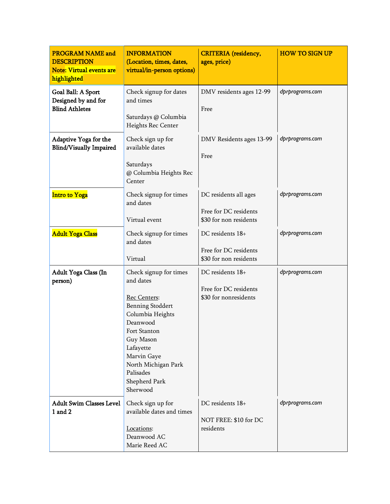| <b>PROGRAM NAME and</b><br><b>DESCRIPTION</b><br><b>Note: Virtual events are</b><br>highlighted | <b>INFORMATION</b><br>(Location, times, dates,<br>virtual/in-person options)                                                                                                                                                             | <b>CRITERIA</b> (residency,<br>ages, price)                              | <b>HOW TO SIGN UP</b> |
|-------------------------------------------------------------------------------------------------|------------------------------------------------------------------------------------------------------------------------------------------------------------------------------------------------------------------------------------------|--------------------------------------------------------------------------|-----------------------|
| Goal Ball: A Sport<br>Designed by and for<br><b>Blind Athletes</b>                              | Check signup for dates<br>and times<br>Saturdays @ Columbia<br>Heights Rec Center                                                                                                                                                        | DMV residents ages 12-99<br>Free                                         | dprprograms.com       |
| Adaptive Yoga for the<br><b>Blind/Visually Impaired</b>                                         | Check sign up for<br>available dates<br>Saturdays<br>@ Columbia Heights Rec<br>Center                                                                                                                                                    | DMV Residents ages 13-99<br>Free                                         | dprprograms.com       |
| <b>Intro to Yoga</b>                                                                            | Check signup for times<br>and dates<br>Virtual event                                                                                                                                                                                     | DC residents all ages<br>Free for DC residents<br>\$30 for non residents | dprprograms.com       |
| <b>Adult Yoga Class</b>                                                                         | Check signup for times<br>and dates<br>Virtual                                                                                                                                                                                           | DC residents 18+<br>Free for DC residents<br>\$30 for non residents      | dprprograms.com       |
| Adult Yoga Class (In<br>person)                                                                 | Check signup for times<br>and dates<br><b>Rec Centers:</b><br>Benning Stoddert<br>Columbia Heights<br>Deanwood<br>Fort Stanton<br>Guy Mason<br>Lafayette<br>Marvin Gaye<br>North Michigan Park<br>Palisades<br>Shepherd Park<br>Sherwood | DC residents 18+<br>Free for DC residents<br>\$30 for nonresidents       | dprprograms.com       |
| <b>Adult Swim Classes Level</b><br>1 and 2                                                      | Check sign up for<br>available dates and times<br>Locations:<br>Deanwood AC<br>Marie Reed AC                                                                                                                                             | DC residents 18+<br>NOT FREE: \$10 for DC<br>residents                   | dprprograms.com       |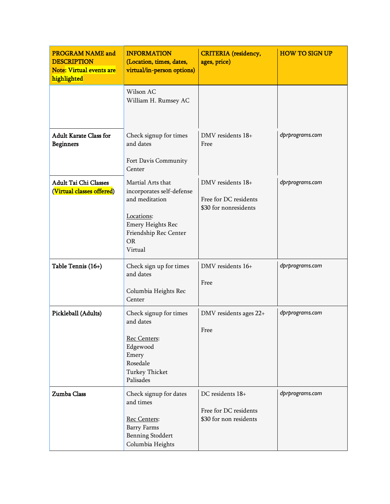| <b>PROGRAM NAME and</b><br><b>DESCRIPTION</b><br><b>Note: Virtual events are</b><br>highlighted | <b>INFORMATION</b><br>(Location, times, dates,<br>virtual/in-person options)                                                                                | <b>CRITERIA</b> (residency,<br>ages, price)                         | <b>HOW TO SIGN UP</b> |
|-------------------------------------------------------------------------------------------------|-------------------------------------------------------------------------------------------------------------------------------------------------------------|---------------------------------------------------------------------|-----------------------|
|                                                                                                 | Wilson AC<br>William H. Rumsey AC                                                                                                                           |                                                                     |                       |
| <b>Adult Karate Class for</b><br><b>Beginners</b>                                               | Check signup for times<br>and dates<br>Fort Davis Community<br>Center                                                                                       | DMV residents 18+<br>Free                                           | dprprograms.com       |
| <b>Adult Tai Chi Classes</b><br>(Virtual classes offered)                                       | Martial Arts that<br>incorporates self-defense<br>and meditation<br>Locations:<br><b>Emery Heights Rec</b><br>Friendship Rec Center<br><b>OR</b><br>Virtual | DMV residents 18+<br>Free for DC residents<br>\$30 for nonresidents | dprprograms.com       |
| Table Tennis (16+)                                                                              | Check sign up for times<br>and dates<br>Columbia Heights Rec<br>Center                                                                                      | DMV residents 16+<br>Free                                           | dprprograms.com       |
| Pickleball (Adults)                                                                             | Check signup for times<br>and dates<br>Rec Centers:<br>Edgewood<br>Emery<br>Rosedale<br><b>Turkey Thicket</b><br>Palisades                                  | DMV residents ages 22+<br>Free                                      | dprprograms.com       |
| Zumba Class                                                                                     | Check signup for dates<br>and times<br>Rec Centers:<br><b>Barry Farms</b><br><b>Benning Stoddert</b><br>Columbia Heights                                    | DC residents 18+<br>Free for DC residents<br>\$30 for non residents | dprprograms.com       |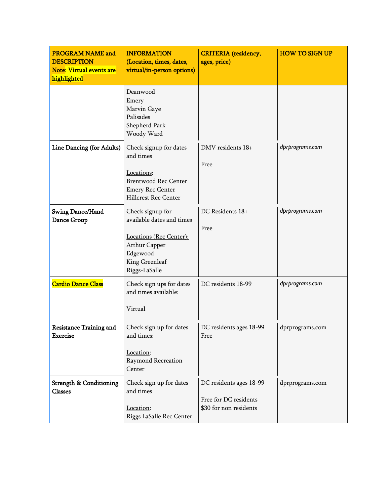| <b>PROGRAM NAME and</b><br><b>DESCRIPTION</b><br><b>Note: Virtual events are</b><br>highlighted | <b>INFORMATION</b><br>(Location, times, dates,<br>virtual/in-person options)                                                             | <b>CRITERIA</b> (residency,<br>ages, price)                                | <b>HOW TO SIGN UP</b> |
|-------------------------------------------------------------------------------------------------|------------------------------------------------------------------------------------------------------------------------------------------|----------------------------------------------------------------------------|-----------------------|
|                                                                                                 | Deanwood<br>Emery<br>Marvin Gaye<br>Palisades<br>Shepherd Park<br>Woody Ward                                                             |                                                                            |                       |
| Line Dancing (for Adults)                                                                       | Check signup for dates<br>and times<br>Locations:<br><b>Brentwood Rec Center</b><br><b>Emery Rec Center</b><br>Hillcrest Rec Center      | DMV residents 18+<br>Free                                                  | dprprograms.com       |
| Swing Dance/Hand<br>Dance Group                                                                 | Check signup for<br>available dates and times<br>Locations (Rec Center):<br>Arthur Capper<br>Edgewood<br>King Greenleaf<br>Riggs-LaSalle | DC Residents 18+<br>Free                                                   | dprprograms.com       |
| <b>Cardio Dance Class</b>                                                                       | Check sign ups for dates<br>and times available:<br>Virtual                                                                              | DC residents 18-99                                                         | dprprograms.com       |
| <b>Resistance Training and</b><br><b>Exercise</b>                                               | Check sign up for dates<br>and times:<br>Location:<br>Raymond Recreation<br>Center                                                       | DC residents ages 18-99<br>Free                                            | dprprograms.com       |
| <b>Strength &amp; Conditioning</b><br>Classes                                                   | Check sign up for dates<br>and times<br>Location:<br>Riggs LaSalle Rec Center                                                            | DC residents ages 18-99<br>Free for DC residents<br>\$30 for non residents | dprprograms.com       |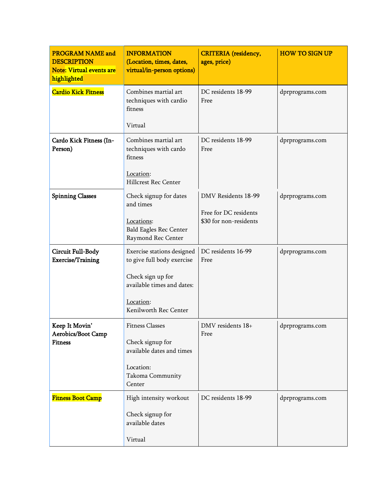| <b>PROGRAM NAME and</b><br><b>DESCRIPTION</b><br><b>Note: Virtual events are</b><br>highlighted | <b>INFORMATION</b><br>(Location, times, dates,<br>virtual/in-person options) | <b>CRITERIA</b> (residency,<br>ages, price)  | <b>HOW TO SIGN UP</b> |
|-------------------------------------------------------------------------------------------------|------------------------------------------------------------------------------|----------------------------------------------|-----------------------|
| <b>Cardio Kick Fitness</b>                                                                      | Combines martial art<br>techniques with cardio<br>fitness                    | DC residents 18-99<br>Free                   | dprprograms.com       |
|                                                                                                 | Virtual                                                                      |                                              |                       |
| Cardo Kick Fitness (In-<br>Person)                                                              | Combines martial art<br>techniques with cardo<br>fitness                     | DC residents 18-99<br>Free                   | dprprograms.com       |
|                                                                                                 | Location:<br>Hillcrest Rec Center                                            |                                              |                       |
| <b>Spinning Classes</b>                                                                         | Check signup for dates<br>and times                                          | DMV Residents 18-99<br>Free for DC residents | dprprograms.com       |
|                                                                                                 | Locations:<br><b>Bald Eagles Rec Center</b><br>Raymond Rec Center            | \$30 for non-residents                       |                       |
| <b>Circuit Full-Body</b><br><b>Exercise/Training</b>                                            | Exercise stations designed<br>to give full body exercise                     | DC residents 16-99<br>Free                   | dprprograms.com       |
|                                                                                                 | Check sign up for<br>available times and dates:                              |                                              |                       |
|                                                                                                 | Location:<br>Kenilworth Rec Center                                           |                                              |                       |
| Keep It Movin'                                                                                  | <b>Fitness Classes</b>                                                       | DMV residents 18+                            | dprprograms.com       |
| Aerobics/Boot Camp<br><b>Fitness</b>                                                            | Check signup for<br>available dates and times                                | Free                                         |                       |
|                                                                                                 | Location:<br>Takoma Community<br>Center                                      |                                              |                       |
| <b>Fitness Boot Camp</b>                                                                        | High intensity workout                                                       | DC residents 18-99                           | dprprograms.com       |
|                                                                                                 | Check signup for<br>available dates                                          |                                              |                       |
|                                                                                                 | Virtual                                                                      |                                              |                       |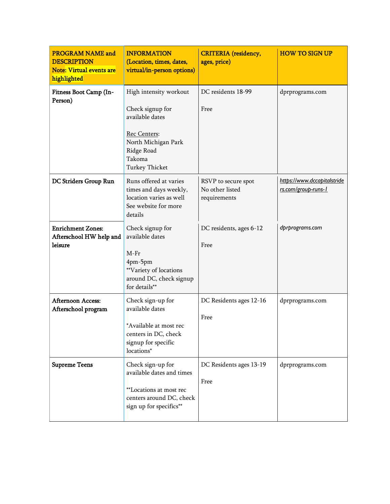| <b>PROGRAM NAME and</b><br><b>DESCRIPTION</b><br><b>Note: Virtual events are</b><br>highlighted | <b>INFORMATION</b><br>(Location, times, dates,<br>virtual/in-person options)                                                                          | <b>CRITERIA</b> (residency,<br>ages, price)            | <b>HOW TO SIGN UP</b>                              |
|-------------------------------------------------------------------------------------------------|-------------------------------------------------------------------------------------------------------------------------------------------------------|--------------------------------------------------------|----------------------------------------------------|
| Fitness Boot Camp (In-<br>Person)                                                               | High intensity workout<br>Check signup for<br>available dates<br>Rec Centers:<br>North Michigan Park<br>Ridge Road<br>Takoma<br><b>Turkey Thicket</b> | DC residents 18-99<br>Free                             | dprprograms.com                                    |
| DC Striders Group Run                                                                           | Runs offered at varies<br>times and days weekly,<br>location varies as well<br>See website for more<br>details                                        | RSVP to secure spot<br>No other listed<br>requirements | https://www.dccapitalstride<br>rs.com/group-runs-1 |
| <b>Enrichment Zones:</b><br>Afterschool HW help and<br>leisure                                  | Check signup for<br>available dates<br>$M-Fr$<br>4pm-5pm<br>**Variety of locations<br>around DC, check signup<br>for details**                        | DC residents, ages 6-12<br>Free                        | dprprograms.com                                    |
| <b>Afternoon Access:</b><br>Afterschool program                                                 | Check sign-up for<br>available dates<br>*Available at most rec<br>centers in DC, check<br>signup for specific<br>locations*                           | DC Residents ages 12-16<br>Free                        | dprprograms.com                                    |
| <b>Supreme Teens</b>                                                                            | Check sign-up for<br>available dates and times<br>**Locations at most rec<br>centers around DC, check<br>sign up for specifics**                      | DC Residents ages 13-19<br>Free                        | dprprograms.com                                    |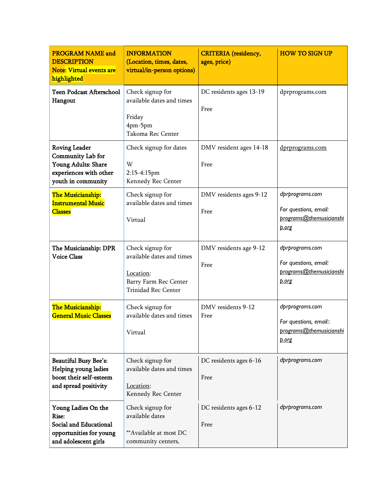| <b>PROGRAM NAME and</b><br><b>DESCRIPTION</b><br><b>Note: Virtual events are</b><br>highlighted                  | <b>INFORMATION</b><br>(Location, times, dates,<br>virtual/in-person options)                                      | <b>CRITERIA</b> (residency,<br>ages, price) | <b>HOW TO SIGN UP</b>                                                                |
|------------------------------------------------------------------------------------------------------------------|-------------------------------------------------------------------------------------------------------------------|---------------------------------------------|--------------------------------------------------------------------------------------|
| <b>Teen Podcast Afterschool</b><br>Hangout                                                                       | Check signup for<br>available dates and times<br>Friday<br>4pm-5pm<br>Takoma Rec Center                           | DC residents ages 13-19<br>Free             | dprprograms.com                                                                      |
| <b>Roving Leader</b><br>Community Lab for<br>Young Adults: Share<br>experiences with other<br>youth in community | Check signup for dates<br>W<br>2:15-4:15pm<br>Kennedy Rec Center                                                  | DMV resident ages 14-18<br>Free             | dprprograms.com                                                                      |
| The Musicianship:<br><b>Instrumental Music</b><br><b>Classes</b>                                                 | Check signup for<br>available dates and times<br>Virtual                                                          | DMV residents ages 9-12<br>Free             | dprprograms.com<br>For questions, email:<br>programs@themusicianshi<br>p.org         |
| The Musicianship: DPR<br><b>Voice Class</b>                                                                      | Check signup for<br>available dates and times<br>Location:<br>Barry Farm Rec Center<br><b>Trinidad Rec Center</b> | DMV residents age 9-12<br>Free              | dprprograms.com<br>For questions, email:<br>programs@themusicianshi<br>p.org         |
| The Musicianship:<br><b>General Music Classes</b>                                                                | Check signup for<br>available dates and times<br>Virtual                                                          | DMV residents 9-12<br>Free                  | dprprograms.com<br>For questions, email::<br>programs@themusicianshi<br><u>p.org</u> |
| <b>Beautiful Busy Bee's:</b><br>Helping young ladies<br>boost their self-esteem<br>and spread positivity         | Check signup for<br>available dates and times<br>Location:<br>Kennedy Rec Center                                  | DC residents ages 6-16<br>Free              | dprprograms.com                                                                      |
| Young Ladies On the<br>Rise:<br>Social and Educational<br>opportunities for young<br>and adolescent girls        | Check signup for<br>available dates<br>**Available at most DC<br>community centers,                               | DC residents ages 6-12<br>Free              | dprprograms.com                                                                      |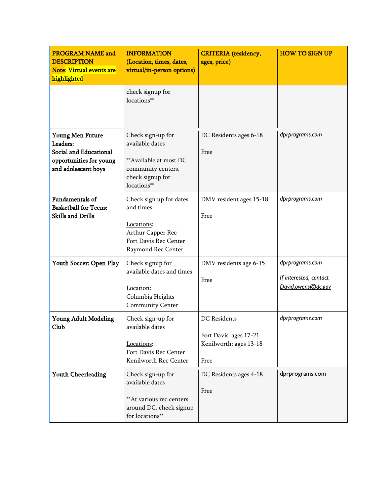| <b>PROGRAM NAME and</b><br><b>DESCRIPTION</b><br><b>Note: Virtual events are</b><br>highlighted          | <b>INFORMATION</b><br>(Location, times, dates,<br>virtual/in-person options)                                            | <b>CRITERIA</b> (residency,<br>ages, price)                                     | <b>HOW TO SIGN UP</b>                                           |
|----------------------------------------------------------------------------------------------------------|-------------------------------------------------------------------------------------------------------------------------|---------------------------------------------------------------------------------|-----------------------------------------------------------------|
|                                                                                                          | check signup for<br>locations**                                                                                         |                                                                                 |                                                                 |
| Young Men Future<br>Leaders:<br>Social and Educational<br>opportunities for young<br>and adolescent boys | Check sign-up for<br>available dates<br>**Available at most DC<br>community centers,<br>check signup for<br>locations** | DC Residents ages 6-18<br>Free                                                  | dprprograms.com                                                 |
| <b>Fundamentals of</b><br><b>Basketball for Teens:</b><br><b>Skills and Drills</b>                       | Check sign up for dates<br>and times<br>Locations:<br>Arthur Capper Rec<br>Fort Davis Rec Center<br>Raymond Rec Center  | DMV resident ages 15-18<br>Free                                                 | dprprograms.com                                                 |
| Youth Soccer: Open Play                                                                                  | Check signup for<br>available dates and times<br>Location:<br>Columbia Heights<br>Community Center                      | DMV residents age 6-15<br>Free                                                  | dprprograms.com<br>If interested, contact<br>David.owens@dc.gov |
| <b>Young Adult Modeling</b><br>Club                                                                      | Check sign-up for<br>available dates<br>Locations:<br>Fort Davis Rec Center<br>Kenilworth Rec Center                    | <b>DC</b> Residents<br>Fort Davis: ages 17-21<br>Kenilworth: ages 13-18<br>Free | dprprograms.com                                                 |
| Youth Cheerleading                                                                                       | Check sign-up for<br>available dates<br>** At various rec centers<br>around DC, check signup<br>for locations**         | DC Residents ages 4-18<br>Free                                                  | dprprograms.com                                                 |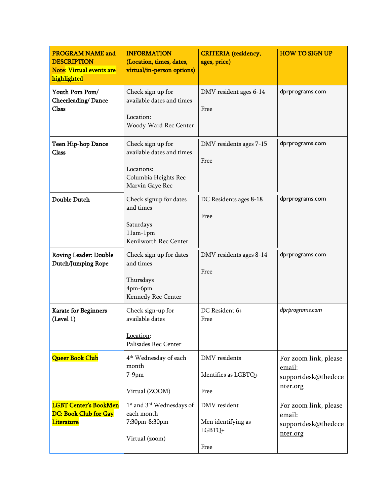| <b>PROGRAM NAME and</b><br><b>DESCRIPTION</b><br><b>Note: Virtual events are</b><br>highlighted | <b>INFORMATION</b><br>(Location, times, dates,<br>virtual/in-person options)                            | <b>CRITERIA</b> (residency,<br>ages, price)          | <b>HOW TO SIGN UP</b>                                              |
|-------------------------------------------------------------------------------------------------|---------------------------------------------------------------------------------------------------------|------------------------------------------------------|--------------------------------------------------------------------|
| Youth Pom Pom/<br>Cheerleading/Dance<br>Class                                                   | Check sign up for<br>available dates and times<br>Location:<br>Woody Ward Rec Center                    | DMV resident ages 6-14<br>Free                       | dprprograms.com                                                    |
| Teen Hip-hop Dance<br>Class                                                                     | Check sign up for<br>available dates and times<br>Locations:<br>Columbia Heights Rec<br>Marvin Gaye Rec | DMV residents ages 7-15<br>Free                      | dprprograms.com                                                    |
| Double Dutch                                                                                    | Check signup for dates<br>and times<br>Saturdays<br>11am-1pm<br>Kenilworth Rec Center                   | DC Residents ages 8-18<br>Free                       | dprprograms.com                                                    |
| <b>Roving Leader: Double</b><br>Dutch/Jumping Rope                                              | Check sign up for dates<br>and times<br>Thursdays<br>4pm-6pm<br>Kennedy Rec Center                      | DMV residents ages 8-14<br>Free                      | dprprograms.com                                                    |
| <b>Karate for Beginners</b><br>(Level 1)                                                        | Check sign-up for<br>available dates<br>Location:<br>Palisades Rec Center                               | DC Resident 6+<br>Free                               | dprprograms.com                                                    |
| <b>Queer Book Club</b>                                                                          | 4 <sup>th</sup> Wednesday of each<br>month<br>$7-9$ pm<br>Virtual (ZOOM)                                | DMV residents<br>Identifies as LGBTQ+<br>Free        | For zoom link, please<br>email:<br>supportdesk@thedcce<br>nter.org |
| <b>LGBT Center's BookMen</b><br>DC: Book Club for Gay<br><b>Literature</b>                      | 1 <sup>st</sup> and 3 <sup>rd</sup> Wednesdays of<br>each month<br>7:30pm-8:30pm<br>Virtual (zoom)      | DMV resident<br>Men identifying as<br>LGBTQ+<br>Free | For zoom link, please<br>email:<br>supportdesk@thedcce<br>nter.org |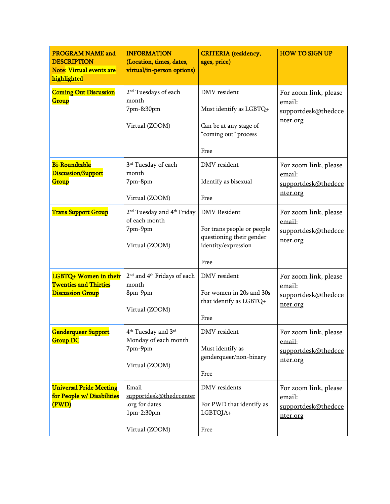| <b>PROGRAM NAME and</b><br><b>DESCRIPTION</b><br><b>Note: Virtual events are</b><br>highlighted | <b>INFORMATION</b><br>(Location, times, dates,<br>virtual/in-person options)                     | <b>CRITERIA</b> (residency,<br>ages, price)                                                                  | <b>HOW TO SIGN UP</b>                                              |
|-------------------------------------------------------------------------------------------------|--------------------------------------------------------------------------------------------------|--------------------------------------------------------------------------------------------------------------|--------------------------------------------------------------------|
| <b>Coming Out Discussion</b><br>Group                                                           | 2 <sup>nd</sup> Tuesdays of each<br>month<br>7pm-8:30pm<br>Virtual (ZOOM)                        | DMV resident<br>Must identify as LGBTQ+<br>Can be at any stage of<br>"coming out" process<br>Free            | For zoom link, please<br>email:<br>supportdesk@thedcce<br>nter.org |
| <b>Bi-Roundtable</b><br><b>Discussion/Support</b><br>Group                                      | 3rd Tuesday of each<br>month<br>7pm-8pm<br>Virtual (ZOOM)                                        | DMV resident<br>Identify as bisexual<br>Free                                                                 | For zoom link, please<br>email:<br>supportdesk@thedcce<br>nter.org |
| <b>Trans Support Group</b>                                                                      | 2 <sup>nd</sup> Tuesday and 4 <sup>th</sup> Friday<br>of each month<br>7pm-9pm<br>Virtual (ZOOM) | <b>DMV</b> Resident<br>For trans people or people<br>questioning their gender<br>identity/expression<br>Free | For zoom link, please<br>email:<br>supportdesk@thedcce<br>nter.org |
| LGBTQ+ Women in their<br><b>Twenties and Thirties</b><br><b>Discussion Group</b>                | 2 <sup>nd</sup> and 4 <sup>th</sup> Fridays of each<br>month<br>8pm-9pm<br>Virtual (ZOOM)        | DMV resident<br>For women in 20s and 30s<br>that identify as LGBTQ+<br>Free                                  | For zoom link, please<br>email:<br>supportdesk@thedcce<br>nter.org |
| Genderqueer Support<br><b>Group DC</b>                                                          | 4 <sup>th</sup> Tuesday and 3 <sup>rd</sup><br>Monday of each month<br>7pm-9pm<br>Virtual (ZOOM) | DMV resident<br>Must identify as<br>genderqueer/non-binary<br>Free                                           | For zoom link, please<br>email:<br>supportdesk@thedcce<br>nter.org |
| <b>Universal Pride Meeting</b><br>for People w/Disabilities<br>(PWD)                            | Email<br>supportdesk@thedccenter<br>.org for dates<br>1pm-2:30pm<br>Virtual (ZOOM)               | DMV residents<br>For PWD that identify as<br>LGBTQIA+<br>Free                                                | For zoom link, please<br>email:<br>supportdesk@thedcce<br>nter.org |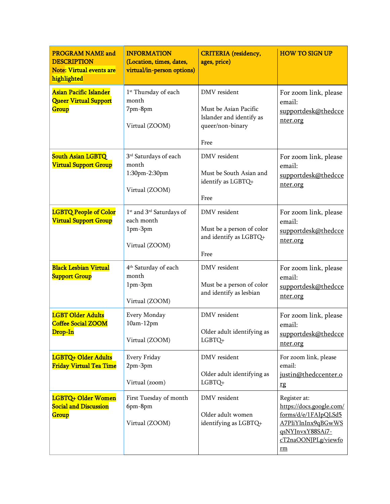| <b>PROGRAM NAME and</b><br><b>DESCRIPTION</b><br>Note: Virtual events are<br>highlighted | <b>INFORMATION</b><br>(Location, times, dates,<br>virtual/in-person options)                | <b>CRITERIA</b> (residency,<br>ages, price)                                                   | <b>HOW TO SIGN UP</b>                                                                                                                   |
|------------------------------------------------------------------------------------------|---------------------------------------------------------------------------------------------|-----------------------------------------------------------------------------------------------|-----------------------------------------------------------------------------------------------------------------------------------------|
| Asian Pacific Islander<br><b>Queer Virtual Support</b><br>Group                          | 1 <sup>st</sup> Thursday of each<br>month<br>7pm-8pm<br>Virtual (ZOOM)                      | DMV resident<br>Must be Asian Pacific<br>Islander and identify as<br>queer/non-binary<br>Free | For zoom link, please<br>email:<br>supportdesk@thedcce<br>nter.org                                                                      |
| <b>South Asian LGBTQ</b><br><b>Virtual Support Group</b>                                 | 3 <sup>rd</sup> Saturdays of each<br>month<br>1:30pm-2:30pm<br>Virtual (ZOOM)               | DMV resident<br>Must be South Asian and<br>identify as LGBTQ+<br>Free                         | For zoom link, please<br>email:<br>supportdesk@thedcce<br>nter.org                                                                      |
| <b>LGBTQ People of Color</b><br><b>Virtual Support Group</b>                             | 1 <sup>st</sup> and 3 <sup>rd</sup> Saturdays of<br>each month<br>1pm-3pm<br>Virtual (ZOOM) | DMV resident<br>Must be a person of color<br>and identify as LGBTQ+<br>Free                   | For zoom link, please<br>email:<br>supportdesk@thedcce<br>nter.org                                                                      |
| <b>Black Lesbian Virtual</b><br><b>Support Group</b>                                     | 4 <sup>th</sup> Saturday of each<br>month<br>1pm-3pm<br>Virtual (ZOOM)                      | DMV resident<br>Must be a person of color<br>and identify as lesbian                          | For zoom link, please<br>email:<br>supportdesk@thedcce<br>nter.org                                                                      |
| <b>LGBT Older Adults</b><br><b>Coffee Social ZOOM</b><br>Drop-In                         | Every Monday<br>$10am-12pm$<br>Virtual (ZOOM)                                               | DMV resident<br>Older adult identifying as<br>$LGBTQ+$                                        | For zoom link, please<br>email:<br>supportdesk@thedcce<br>nter.org                                                                      |
| LGBTQ+ Older Adults<br>Friday Virtual Tea Time                                           | Every Friday<br>2pm-3pm<br>Virtual (zoom)                                                   | DMV resident<br>Older adult identifying as<br>LGBTQ+                                          | For zoom link, please<br>email:<br>justin@thedccenter.o<br>rg                                                                           |
| LGBTQ+ Older Women<br><b>Social and Discussion</b><br>Group                              | First Tuesday of month<br>6pm-8pm<br>Virtual (ZOOM)                                         | DMV resident<br>Older adult women<br>identifying as LGBTQ+                                    | Register at:<br>https://docs.google.com/<br>forms/d/e/1FAIpQLSd5<br>A7PliYlnInx9qBGwWS<br>qsNYJnvxY88SAi7-<br>cT2naOONJPLg/viewfo<br>rm |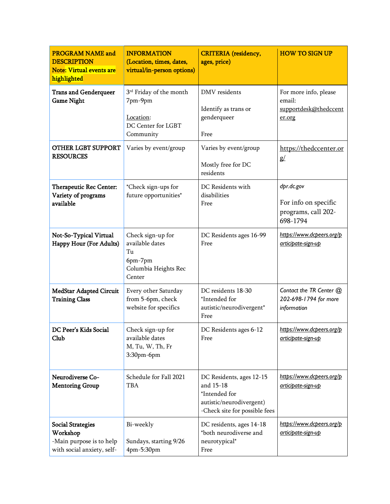| <b>PROGRAM NAME and</b><br><b>DESCRIPTION</b><br><b>Note: Virtual events are</b><br>highlighted | <b>INFORMATION</b><br>(Location, times, dates,<br>virtual/in-person options)                   | <b>CRITERIA</b> (residency,<br>ages, price)                                                                         | <b>HOW TO SIGN UP</b>                                                 |
|-------------------------------------------------------------------------------------------------|------------------------------------------------------------------------------------------------|---------------------------------------------------------------------------------------------------------------------|-----------------------------------------------------------------------|
| <b>Trans and Genderqueer</b><br><b>Game Night</b>                                               | 3 <sup>rd</sup> Friday of the month<br>7pm-9pm<br>Location:<br>DC Center for LGBT<br>Community | DMV residents<br>Identify as trans or<br>genderqueer<br>Free                                                        | For more info, please<br>email:<br>supportdesk@thedccent<br>er.org    |
| <b>OTHER LGBT SUPPORT</b><br><b>RESOURCES</b>                                                   | Varies by event/group                                                                          | Varies by event/group<br>Mostly free for DC<br>residents                                                            | https://thedccenter.or<br>g/                                          |
| Therapeutic Rec Center:<br>Variety of programs<br>available                                     | *Check sign-ups for<br>future opportunities*                                                   | DC Residents with<br>disabilities<br>Free                                                                           | dpr.dc.gov<br>For info on specific<br>programs, call 202-<br>698-1794 |
| Not-So-Typical Virtual<br>Happy Hour (For Adults)                                               | Check sign-up for<br>available dates<br>Tu<br>6pm-7pm<br>Columbia Heights Rec<br>Center        | DC Residents ages 16-99<br>Free                                                                                     | https://www.dcpeers.org/p<br>articipate-sign-up                       |
| <b>MedStar Adapted Circuit</b><br><b>Training Class</b>                                         | Every other Saturday<br>from 5-6pm, check<br>website for specifics                             | DC residents 18-30<br>*Intended for<br>autistic/neurodivergent*<br>Free                                             | Contact the TR Center @<br>202-698-1794 for more<br>information       |
| DC Peer's Kids Social<br>Club                                                                   | Check sign-up for<br>available dates<br>M, Tu, W, Th, Fr<br>3:30pm-6pm                         | DC Residents ages 6-12<br>Free                                                                                      | https://www.dcpeers.org/p<br>articipate-sign-up                       |
| Neurodiverse Co-<br><b>Mentoring Group</b>                                                      | Schedule for Fall 2021<br>TBA                                                                  | DC Residents, ages 12-15<br>and 15-18<br>*Intended for<br>autistic/neurodivergent)<br>-Check site for possible fees | https://www.dcpeers.org/p<br>articipate-sign-up                       |
| <b>Social Strategies</b><br>Workshop<br>-Main purpose is to help<br>with social anxiety, self-  | Bi-weekly<br>Sundays, starting 9/26<br>4pm-5:30pm                                              | DC residents, ages 14-18<br>*both neurodiverse and<br>neurotypical*<br>Free                                         | https://www.dcpeers.org/p<br>articipate-sign-up                       |